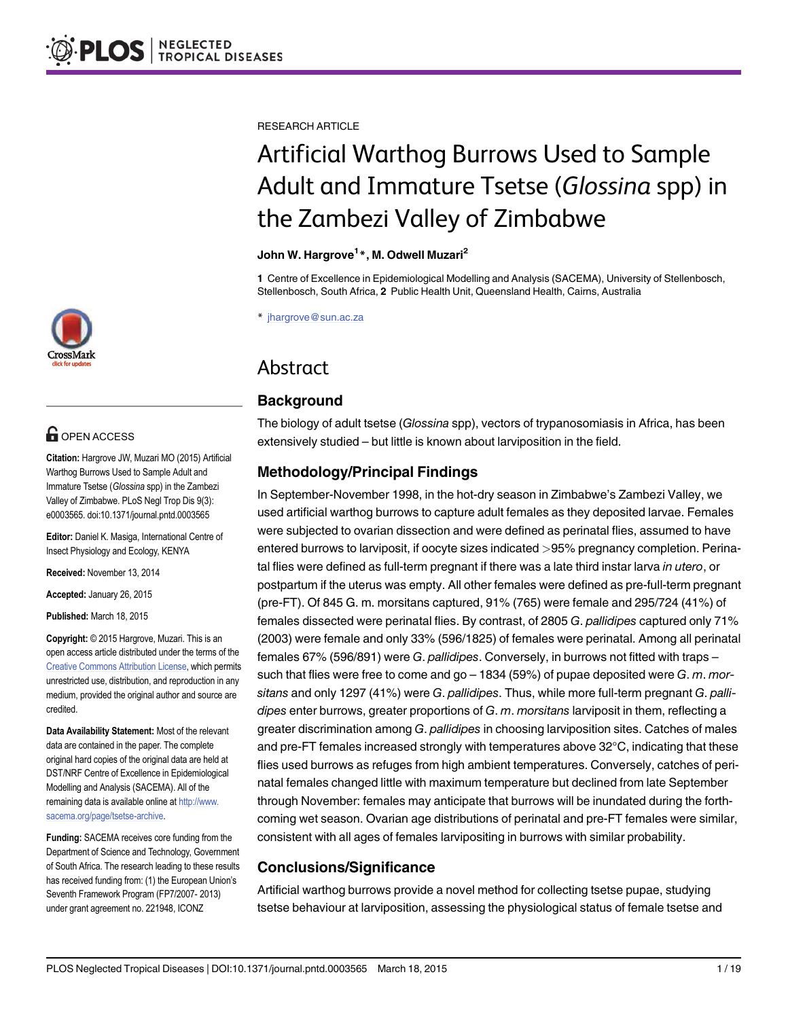

## **G** OPEN ACCESS

Citation: Hargrove JW, Muzari MO (2015) Artificial Warthog Burrows Used to Sample Adult and Immature Tsetse (Glossina spp) in the Zambezi Valley of Zimbabwe. PLoS Negl Trop Dis 9(3): e0003565. doi:10.1371/journal.pntd.0003565

Editor: Daniel K. Masiga, International Centre of Insect Physiology and Ecology, KENYA

Received: November 13, 2014

Accepted: January 26, 2015

Published: March 18, 2015

Copyright: © 2015 Hargrove, Muzari. This is an open access article distributed under the terms of the [Creative Commons Attribution License,](http://creativecommons.org/licenses/by/4.0/) which permits unrestricted use, distribution, and reproduction in any medium, provided the original author and source are credited.

Data Availability Statement: Most of the relevant data are contained in the paper. The complete original hard copies of the original data are held at DST/NRF Centre of Excellence in Epidemiological Modelling and Analysis (SACEMA). All of the remaining data is available online at [http://www.](http://www.sacema.org/page/tsetse-archive) [sacema.org/page/tsetse-archive.](http://www.sacema.org/page/tsetse-archive)

Funding: SACEMA receives core funding from the Department of Science and Technology, Government of South Africa. The research leading to these results has received funding from: (1) the European Union's Seventh Framework Program (FP7/2007- 2013) under grant agreement no. 221948, ICONZ

RESEARCH ARTICLE

# Artificial Warthog Burrows Used to Sample Adult and Immature Tsetse (Glossina spp) in the Zambezi Valley of Zimbabwe

#### John W. Hargrove<sup>1</sup>\*, M. Odwell Muzari<sup>2</sup>

1 Centre of Excellence in Epidemiological Modelling and Analysis (SACEMA), University of Stellenbosch, Stellenbosch, South Africa, 2 Public Health Unit, Queensland Health, Cairns, Australia

\* jhargrove@sun.ac.za

## Abstract

## Background

The biology of adult tsetse (Glossina spp), vectors of trypanosomiasis in Africa, has been extensively studied – but little is known about larviposition in the field.

## Methodology/Principal Findings

In September-November 1998, in the hot-dry season in Zimbabwe's Zambezi Valley, we used artificial warthog burrows to capture adult females as they deposited larvae. Females were subjected to ovarian dissection and were defined as perinatal flies, assumed to have entered burrows to larviposit, if oocyte sizes indicated >95% pregnancy completion. Perinatal flies were defined as full-term pregnant if there was a late third instar larva in utero, or postpartum if the uterus was empty. All other females were defined as pre-full-term pregnant (pre-FT). Of 845 G. m. morsitans captured, 91% (765) were female and 295/724 (41%) of females dissected were perinatal flies. By contrast, of 2805 G. pallidipes captured only 71% (2003) were female and only 33% (596/1825) of females were perinatal. Among all perinatal females 67% (596/891) were G. pallidipes. Conversely, in burrows not fitted with traps – such that flies were free to come and  $go - 1834 (59%)$  of pupae deposited were  $G.m. mor$ sitans and only 1297 (41%) were G. pallidipes. Thus, while more full-term pregnant G. pallidipes enter burrows, greater proportions of G. m. morsitans larviposit in them, reflecting a greater discrimination among G. pallidipes in choosing larviposition sites. Catches of males and pre-FT females increased strongly with temperatures above 32°C, indicating that these flies used burrows as refuges from high ambient temperatures. Conversely, catches of perinatal females changed little with maximum temperature but declined from late September through November: females may anticipate that burrows will be inundated during the forthcoming wet season. Ovarian age distributions of perinatal and pre-FT females were similar, consistent with all ages of females larvipositing in burrows with similar probability.

### Conclusions/Significance

Artificial warthog burrows provide a novel method for collecting tsetse pupae, studying tsetse behaviour at larviposition, assessing the physiological status of female tsetse and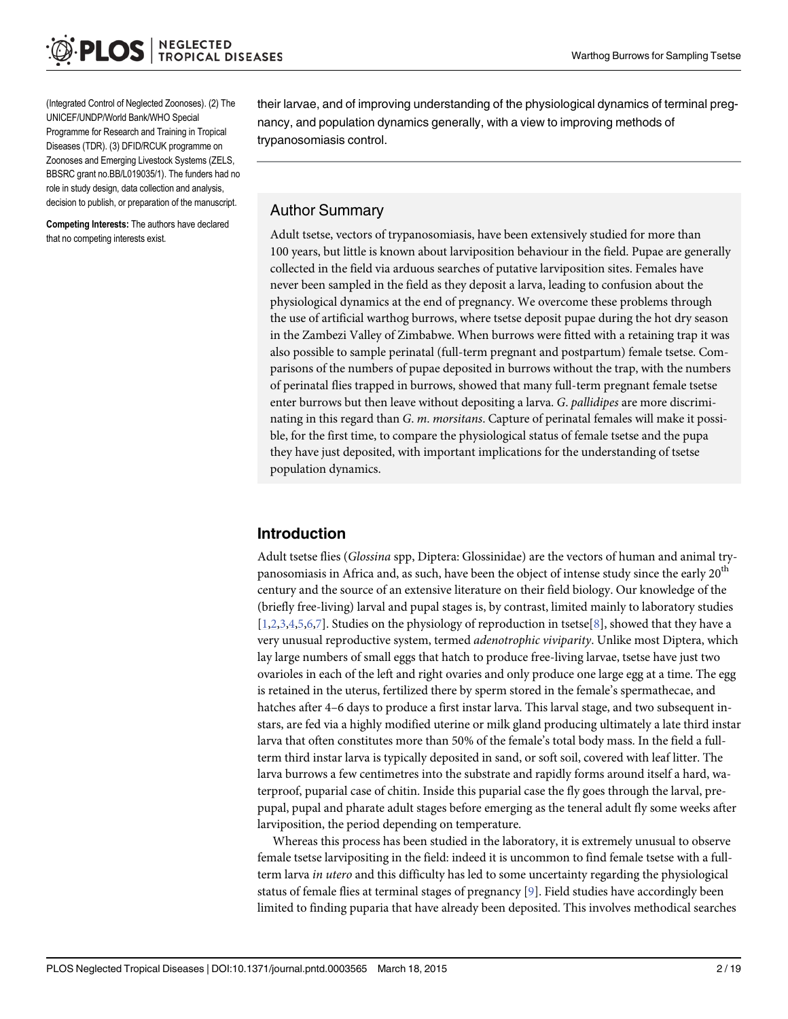<span id="page-1-0"></span>(Integrated Control of Neglected Zoonoses). (2) The UNICEF/UNDP/World Bank/WHO Special Programme for Research and Training in Tropical Diseases (TDR). (3) DFID/RCUK programme on Zoonoses and Emerging Livestock Systems (ZELS, BBSRC grant no.BB/L019035/1). The funders had no role in study design, data collection and analysis, decision to publish, or preparation of the manuscript.

Competing Interests: The authors have declared that no competing interests exist.

their larvae, and of improving understanding of the physiological dynamics of terminal pregnancy, and population dynamics generally, with a view to improving methods of trypanosomiasis control.

## Author Summary

Adult tsetse, vectors of trypanosomiasis, have been extensively studied for more than 100 years, but little is known about larviposition behaviour in the field. Pupae are generally collected in the field via arduous searches of putative larviposition sites. Females have never been sampled in the field as they deposit a larva, leading to confusion about the physiological dynamics at the end of pregnancy. We overcome these problems through the use of artificial warthog burrows, where tsetse deposit pupae during the hot dry season in the Zambezi Valley of Zimbabwe. When burrows were fitted with a retaining trap it was also possible to sample perinatal (full-term pregnant and postpartum) female tsetse. Comparisons of the numbers of pupae deposited in burrows without the trap, with the numbers of perinatal flies trapped in burrows, showed that many full-term pregnant female tsetse enter burrows but then leave without depositing a larva. G. pallidipes are more discriminating in this regard than G. m. morsitans. Capture of perinatal females will make it possible, for the first time, to compare the physiological status of female tsetse and the pupa they have just deposited, with important implications for the understanding of tsetse population dynamics.

## Introduction

Adult tsetse flies (Glossina spp, Diptera: Glossinidae) are the vectors of human and animal trypanosomiasis in Africa and, as such, have been the object of intense study since the early  $20<sup>th</sup>$ century and the source of an extensive literature on their field biology. Our knowledge of the (briefly free-living) larval and pupal stages is, by contrast, limited mainly to laboratory studies  $[1,2,3,4,5,6,7]$  $[1,2,3,4,5,6,7]$ . Studies on the physiology of reproduction in tsetse[\[8](#page-17-0)], showed that they have a very unusual reproductive system, termed adenotrophic viviparity. Unlike most Diptera, which lay large numbers of small eggs that hatch to produce free-living larvae, tsetse have just two ovarioles in each of the left and right ovaries and only produce one large egg at a time. The egg is retained in the uterus, fertilized there by sperm stored in the female's spermathecae, and hatches after 4–6 days to produce a first instar larva. This larval stage, and two subsequent instars, are fed via a highly modified uterine or milk gland producing ultimately a late third instar larva that often constitutes more than 50% of the female's total body mass. In the field a fullterm third instar larva is typically deposited in sand, or soft soil, covered with leaf litter. The larva burrows a few centimetres into the substrate and rapidly forms around itself a hard, waterproof, puparial case of chitin. Inside this puparial case the fly goes through the larval, prepupal, pupal and pharate adult stages before emerging as the teneral adult fly some weeks after larviposition, the period depending on temperature.

Whereas this process has been studied in the laboratory, it is extremely unusual to observe female tsetse larvipositing in the field: indeed it is uncommon to find female tsetse with a fullterm larva in utero and this difficulty has led to some uncertainty regarding the physiological status of female flies at terminal stages of pregnancy [[9](#page-17-0)]. Field studies have accordingly been limited to finding puparia that have already been deposited. This involves methodical searches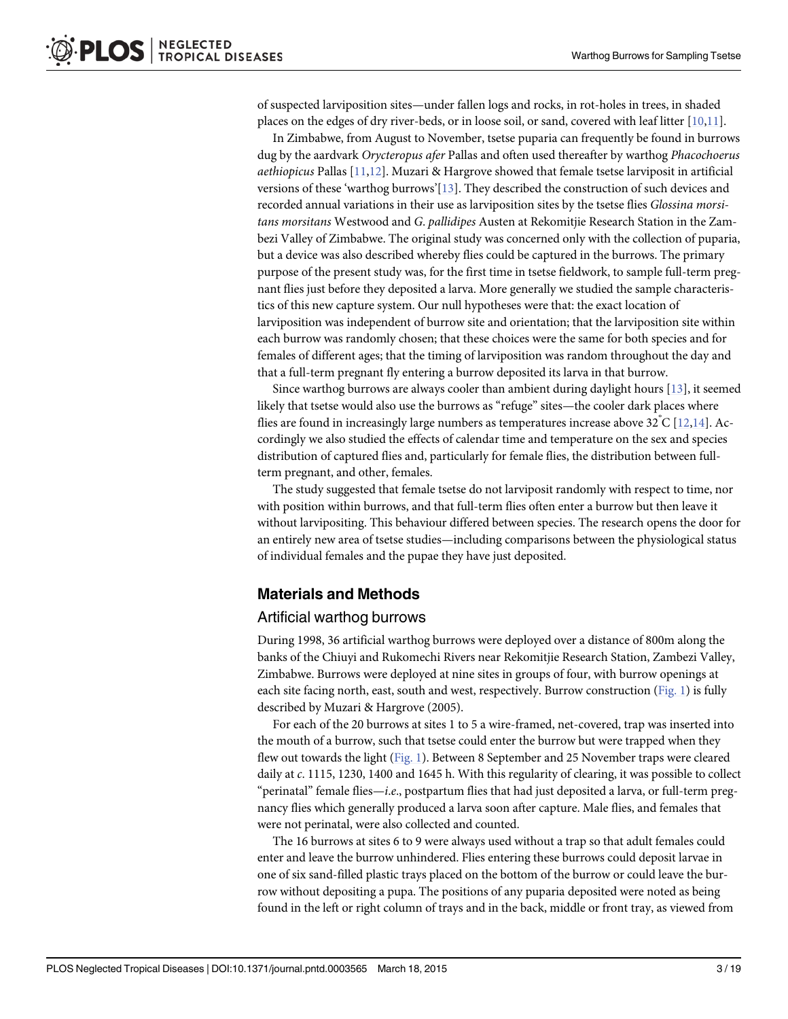<span id="page-2-0"></span>of suspected larviposition sites—under fallen logs and rocks, in rot-holes in trees, in shaded places on the edges of dry river-beds, or in loose soil, or sand, covered with leaf litter  $[10,11]$  $[10,11]$ .

In Zimbabwe, from August to November, tsetse puparia can frequently be found in burrows dug by the aardvark Orycteropus afer Pallas and often used thereafter by warthog Phacochoerus aethiopicus Pallas [\[11,12\]](#page-17-0). Muzari & Hargrove showed that female tsetse larviposit in artificial versions of these 'warthog burrows'[\[13\]](#page-17-0). They described the construction of such devices and recorded annual variations in their use as larviposition sites by the tsetse flies Glossina morsitans morsitans Westwood and G. pallidipes Austen at Rekomitjie Research Station in the Zambezi Valley of Zimbabwe. The original study was concerned only with the collection of puparia, but a device was also described whereby flies could be captured in the burrows. The primary purpose of the present study was, for the first time in tsetse fieldwork, to sample full-term pregnant flies just before they deposited a larva. More generally we studied the sample characteristics of this new capture system. Our null hypotheses were that: the exact location of larviposition was independent of burrow site and orientation; that the larviposition site within each burrow was randomly chosen; that these choices were the same for both species and for females of different ages; that the timing of larviposition was random throughout the day and that a full-term pregnant fly entering a burrow deposited its larva in that burrow.

Since warthog burrows are always cooler than ambient during daylight hours  $[13]$ , it seemed likely that tsetse would also use the burrows as "refuge" sites—the cooler dark places where flies are found in increasingly large numbers as temperatures increase above 32 $\degree$ C [\[12,14\]](#page-17-0). Accordingly we also studied the effects of calendar time and temperature on the sex and species distribution of captured flies and, particularly for female flies, the distribution between fullterm pregnant, and other, females.

The study suggested that female tsetse do not larviposit randomly with respect to time, nor with position within burrows, and that full-term flies often enter a burrow but then leave it without larvipositing. This behaviour differed between species. The research opens the door for an entirely new area of tsetse studies—including comparisons between the physiological status of individual females and the pupae they have just deposited.

#### Materials and Methods

#### Artificial warthog burrows

During 1998, 36 artificial warthog burrows were deployed over a distance of 800m along the banks of the Chiuyi and Rukomechi Rivers near Rekomitjie Research Station, Zambezi Valley, Zimbabwe. Burrows were deployed at nine sites in groups of four, with burrow openings at each site facing north, east, south and west, respectively. Burrow construction [\(Fig. 1](#page-3-0)) is fully described by Muzari & Hargrove (2005).

For each of the 20 burrows at sites 1 to 5 a wire-framed, net-covered, trap was inserted into the mouth of a burrow, such that tsetse could enter the burrow but were trapped when they flew out towards the light [\(Fig. 1\)](#page-3-0). Between 8 September and 25 November traps were cleared daily at c. 1115, 1230, 1400 and 1645 h. With this regularity of clearing, it was possible to collect "perinatal" female flies—*i.e.*, postpartum flies that had just deposited a larva, or full-term pregnancy flies which generally produced a larva soon after capture. Male flies, and females that were not perinatal, were also collected and counted.

The 16 burrows at sites 6 to 9 were always used without a trap so that adult females could enter and leave the burrow unhindered. Flies entering these burrows could deposit larvae in one of six sand-filled plastic trays placed on the bottom of the burrow or could leave the burrow without depositing a pupa. The positions of any puparia deposited were noted as being found in the left or right column of trays and in the back, middle or front tray, as viewed from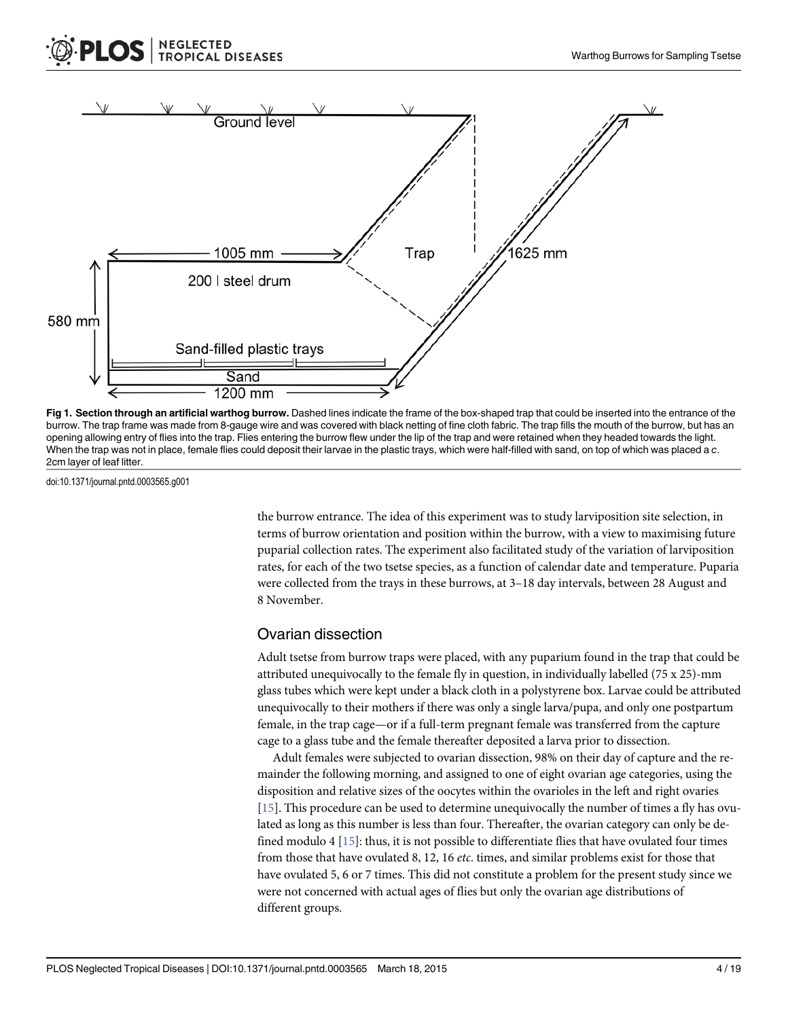<span id="page-3-0"></span>

[Fig 1. S](#page-2-0)ection through an artificial warthog burrow. Dashed lines indicate the frame of the box-shaped trap that could be inserted into the entrance of the burrow. The trap frame was made from 8-gauge wire and was covered with black netting of fine cloth fabric. The trap fills the mouth of the burrow, but has an opening allowing entry of flies into the trap. Flies entering the burrow flew under the lip of the trap and were retained when they headed towards the light. When the trap was not in place, female flies could deposit their larvae in the plastic trays, which were half-filled with sand, on top of which was placed a c. 2cm layer of leaf litter.

doi:10.1371/journal.pntd.0003565.g001

the burrow entrance. The idea of this experiment was to study larviposition site selection, in terms of burrow orientation and position within the burrow, with a view to maximising future puparial collection rates. The experiment also facilitated study of the variation of larviposition rates, for each of the two tsetse species, as a function of calendar date and temperature. Puparia were collected from the trays in these burrows, at 3–18 day intervals, between 28 August and 8 November.

### Ovarian dissection

Adult tsetse from burrow traps were placed, with any puparium found in the trap that could be attributed unequivocally to the female fly in question, in individually labelled (75 x 25)-mm glass tubes which were kept under a black cloth in a polystyrene box. Larvae could be attributed unequivocally to their mothers if there was only a single larva/pupa, and only one postpartum female, in the trap cage—or if a full-term pregnant female was transferred from the capture cage to a glass tube and the female thereafter deposited a larva prior to dissection.

Adult females were subjected to ovarian dissection, 98% on their day of capture and the remainder the following morning, and assigned to one of eight ovarian age categories, using the disposition and relative sizes of the oocytes within the ovarioles in the left and right ovaries  $[15]$  $[15]$ . This procedure can be used to determine unequivocally the number of times a fly has ovulated as long as this number is less than four. Thereafter, the ovarian category can only be defined modulo 4 [\[15\]](#page-17-0): thus, it is not possible to differentiate flies that have ovulated four times from those that have ovulated 8, 12, 16 etc. times, and similar problems exist for those that have ovulated 5, 6 or 7 times. This did not constitute a problem for the present study since we were not concerned with actual ages of flies but only the ovarian age distributions of different groups.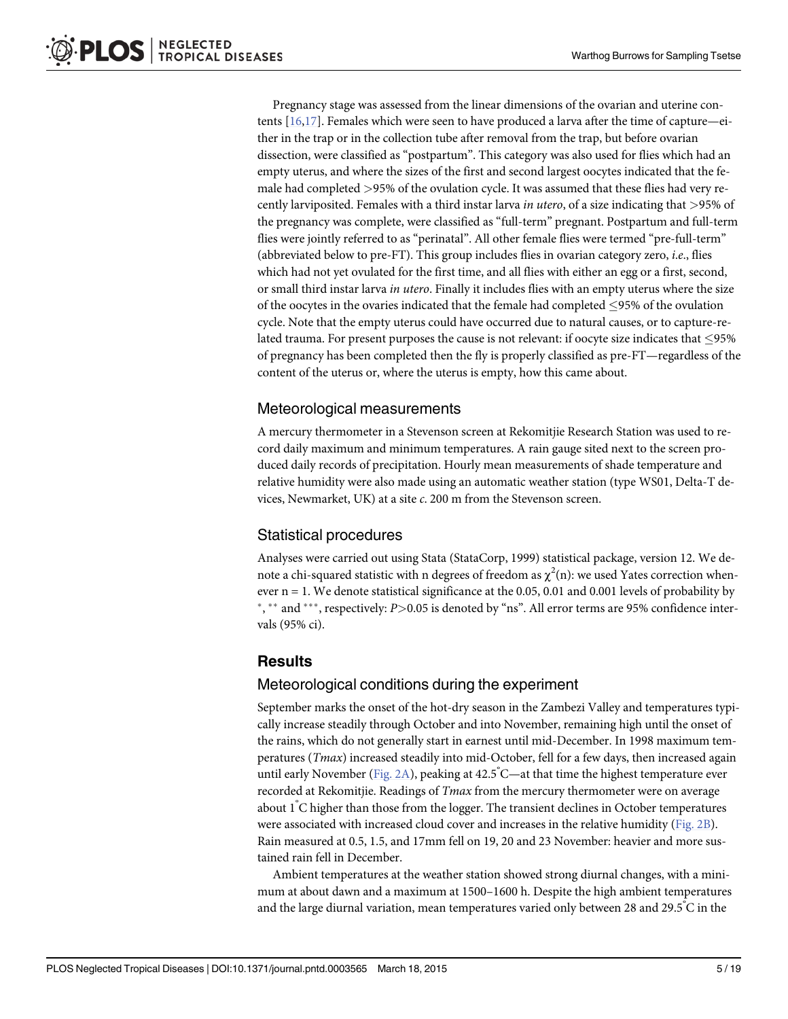<span id="page-4-0"></span>Pregnancy stage was assessed from the linear dimensions of the ovarian and uterine contents [[16,](#page-17-0)[17](#page-18-0)]. Females which were seen to have produced a larva after the time of capture—either in the trap or in the collection tube after removal from the trap, but before ovarian dissection, were classified as "postpartum". This category was also used for flies which had an empty uterus, and where the sizes of the first and second largest oocytes indicated that the female had completed >95% of the ovulation cycle. It was assumed that these flies had very recently larviposited. Females with a third instar larva in utero, of a size indicating that >95% of the pregnancy was complete, were classified as "full-term" pregnant. Postpartum and full-term flies were jointly referred to as "perinatal". All other female flies were termed "pre-full-term" (abbreviated below to pre-FT). This group includes flies in ovarian category zero, i.e., flies which had not yet ovulated for the first time, and all flies with either an egg or a first, second, or small third instar larva in utero. Finally it includes flies with an empty uterus where the size of the oocytes in the ovaries indicated that the female had completed  $\leq$ 95% of the ovulation cycle. Note that the empty uterus could have occurred due to natural causes, or to capture-related trauma. For present purposes the cause is not relevant: if oocyte size indicates that  $\leq$ 95% of pregnancy has been completed then the fly is properly classified as pre-FT—regardless of the content of the uterus or, where the uterus is empty, how this came about.

### Meteorological measurements

A mercury thermometer in a Stevenson screen at Rekomitjie Research Station was used to record daily maximum and minimum temperatures. A rain gauge sited next to the screen produced daily records of precipitation. Hourly mean measurements of shade temperature and relative humidity were also made using an automatic weather station (type WS01, Delta-T devices, Newmarket, UK) at a site c. 200 m from the Stevenson screen.

## Statistical procedures

Analyses were carried out using Stata (StataCorp, 1999) statistical package, version 12. We denote a chi-squared statistic with n degrees of freedom as  $\chi^2(\text{n})$ : we used Yates correction whenever n = 1. We denote statistical significance at the 0.05, 0.01 and 0.001 levels of probability by  $^*$ ,  $^{**}$  and  $^{***}$ , respectively:  $P > 0.05$  is denoted by "ns". All error terms are 95% confidence intervals (95% ci).

## **Results**

## Meteorological conditions during the experiment

September marks the onset of the hot-dry season in the Zambezi Valley and temperatures typically increase steadily through October and into November, remaining high until the onset of the rains, which do not generally start in earnest until mid-December. In 1998 maximum temperatures (Tmax) increased steadily into mid-October, fell for a few days, then increased again until early November ( $\underline{\text{Fig. 2A}}$ ), peaking at  $42.5\degree \text{C}$ —at that time the highest temperature ever recorded at Rekomitjie. Readings of Tmax from the mercury thermometer were on average about 1° C higher than those from the logger. The transient declines in October temperatures were associated with increased cloud cover and increases in the relative humidity ([Fig. 2B](#page-5-0)). Rain measured at 0.5, 1.5, and 17mm fell on 19, 20 and 23 November: heavier and more sustained rain fell in December.

Ambient temperatures at the weather station showed strong diurnal changes, with a minimum at about dawn and a maximum at 1500–1600 h. Despite the high ambient temperatures and the large diurnal variation, mean temperatures varied only between 28 and 29.5  $\rm \degree C$  in the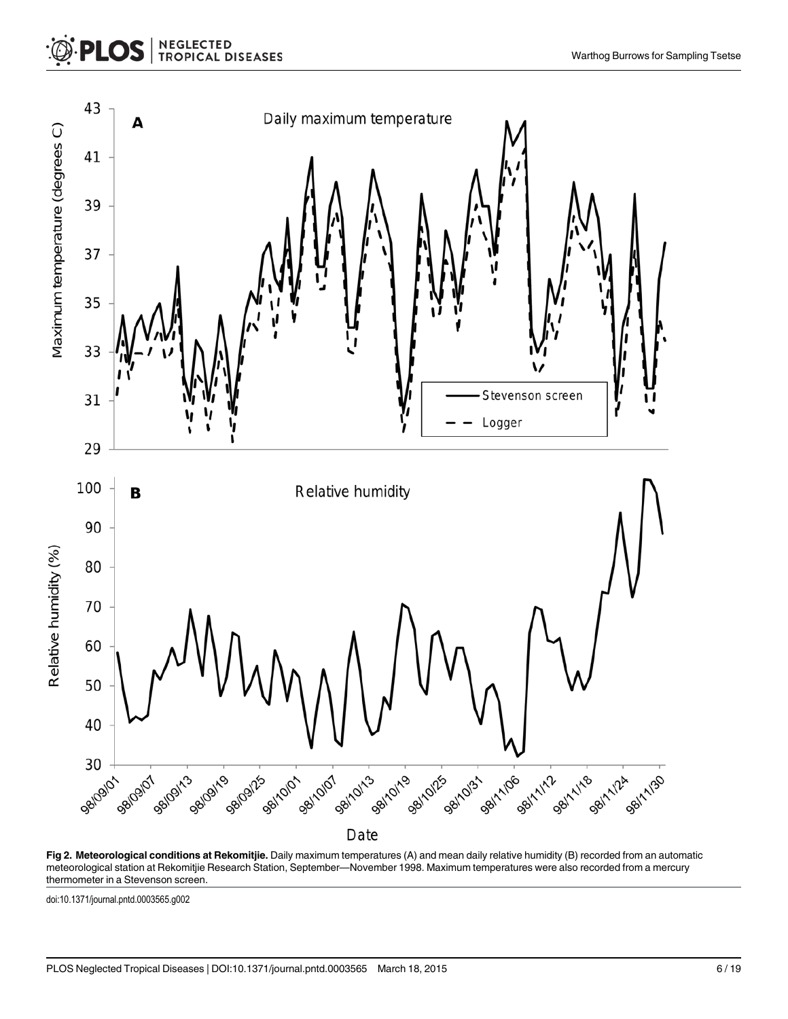<span id="page-5-0"></span>

[Fig 2. M](#page-4-0)eteorological conditions at Rekomitjie. Daily maximum temperatures (A) and mean daily relative humidity (B) recorded from an automatic meteorological station at Rekomitjie Research Station, September—November 1998. Maximum temperatures were also recorded from a mercury thermometer in a Stevenson screen.

doi:10.1371/journal.pntd.0003565.g002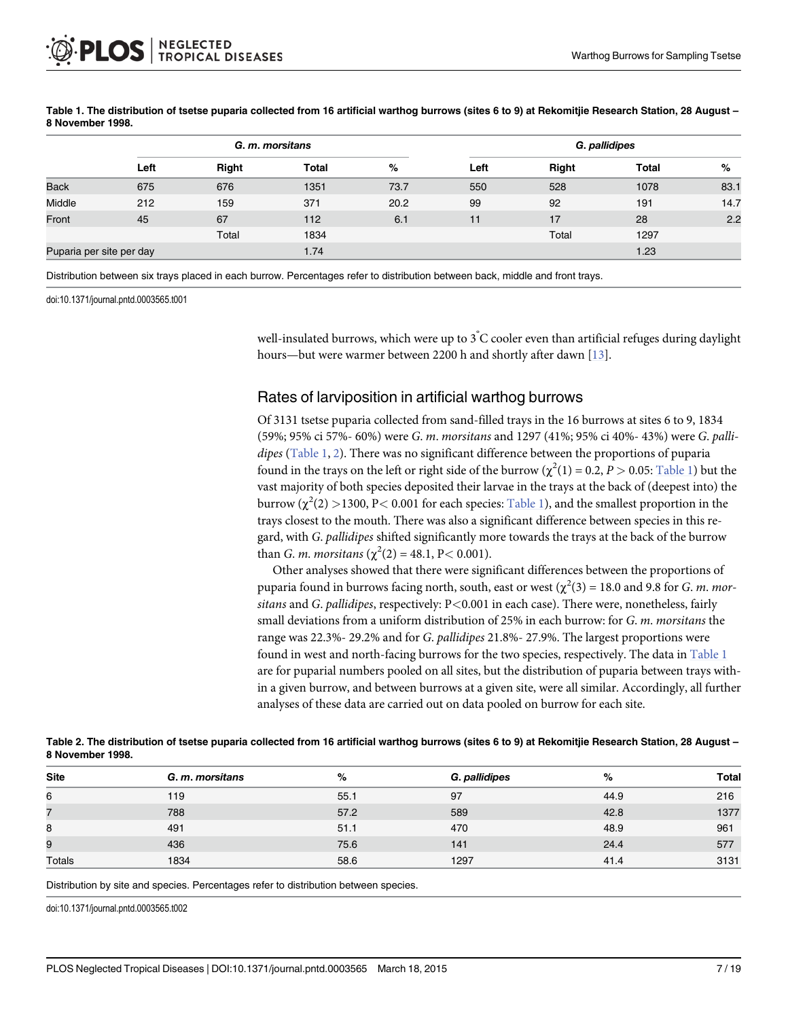|                          | G. m. morsitans |       |              | G. pallidipes |      |              |       |      |
|--------------------------|-----------------|-------|--------------|---------------|------|--------------|-------|------|
|                          | Left            | Right | <b>Total</b> | %             | Left | <b>Right</b> | Total | %    |
| <b>Back</b>              | 675             | 676   | 1351         | 73.7          | 550  | 528          | 1078  | 83.1 |
| Middle                   | 212             | 159   | 371          | 20.2          | 99   | 92           | 191   | 14.7 |
| Front                    | 45              | 67    | 112          | 6.1           | 11   | 17           | 28    | 2.2  |
|                          |                 | Total | 1834         |               |      | Total        | 1297  |      |
| Puparia per site per day |                 | 1.74  |              |               |      | 1.23         |       |      |

<span id="page-6-0"></span>Table 1. The distribution of tsetse puparia collected from 16 artificial warthog burrows (sites 6 to 9) at Rekomitjie Research Station, 28 August – 8 November 1998.

Distribution between six trays placed in each burrow. Percentages refer to distribution between back, middle and front trays.

doi:10.1371/journal.pntd.0003565.t001

well-insulated burrows, which were up to  $\mathring{3} \mathring{\,C}$  cooler even than artificial refuges during daylight hours—but were warmer between 2200 h and shortly after dawn [\[13\]](#page-17-0).

#### Rates of larviposition in artificial warthog burrows

Of 3131 tsetse puparia collected from sand-filled trays in the 16 burrows at sites 6 to 9, 1834 (59%; 95% ci 57%- 60%) were G. m. morsitans and 1297 (41%; 95% ci 40%- 43%) were G. pallidipes (Table 1, 2). There was no significant difference between the proportions of puparia found in the trays on the left or right side of the burrow ( $\chi^2(1) = 0.2, P > 0.05$ : Table 1) but the vast majority of both species deposited their larvae in the trays at the back of (deepest into) the burrow ( $\chi^2(2) > 1300$ , P< 0.001 for each species: Table 1), and the smallest proportion in the trays closest to the mouth. There was also a significant difference between species in this regard, with G. pallidipes shifted significantly more towards the trays at the back of the burrow than *G. m. morsitans* ( $\chi^2(2) = 48.1, P < 0.001$ ).

Other analyses showed that there were significant differences between the proportions of puparia found in burrows facing north, south, east or west ( $\chi^2(3) = 18.0$  and 9.8 for *G. m. mor*sitans and G. pallidipes, respectively: P<0.001 in each case). There were, nonetheless, fairly small deviations from a uniform distribution of 25% in each burrow: for G. m. morsitans the range was 22.3%- 29.2% and for G. pallidipes 21.8%- 27.9%. The largest proportions were found in west and north-facing burrows for the two species, respectively. The data in Table 1 are for puparial numbers pooled on all sites, but the distribution of puparia between trays within a given burrow, and between burrows at a given site, were all similar. Accordingly, all further analyses of these data are carried out on data pooled on burrow for each site.

| Table 2. The distribution of tsetse puparia collected from 16 artificial warthog burrows (sites 6 to 9) at Rekomitjie Research Station, 28 August - |  |
|-----------------------------------------------------------------------------------------------------------------------------------------------------|--|
| 8 November 1998.                                                                                                                                    |  |

| <b>Site</b> | G. m. morsitans | %    | G. pallidipes | %    | Total |
|-------------|-----------------|------|---------------|------|-------|
| 6           | 119             | 55.1 | 97            | 44.9 | 216   |
| ⇁           | 788             | 57.2 | 589           | 42.8 | 1377  |
| 8           | 491             | 51.1 | 470           | 48.9 | 961   |
| 9           | 436             | 75.6 | 141           | 24.4 | 577   |
| Totals      | 1834            | 58.6 | 1297          | 41.4 | 3131  |

Distribution by site and species. Percentages refer to distribution between species.

doi:10.1371/journal.pntd.0003565.t002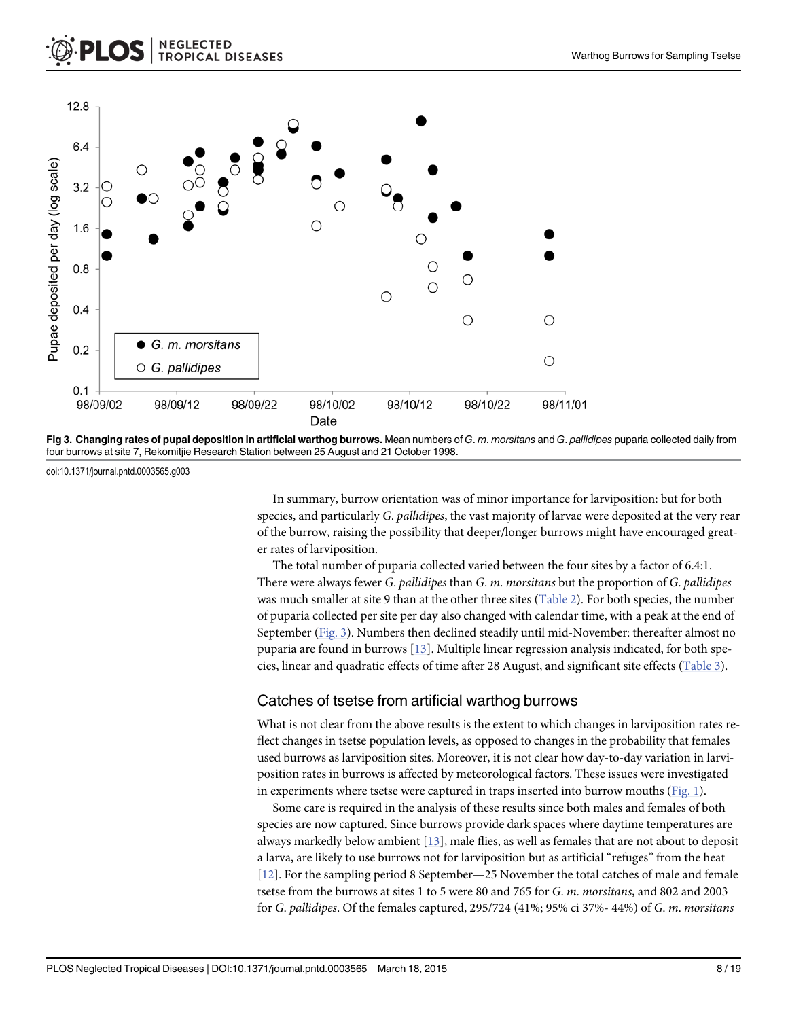<span id="page-7-0"></span>

Fig 3. Changing rates of pupal deposition in artificial warthog burrows. Mean numbers of G. m. morsitans and G. pallidipes puparia collected daily from four burrows at site 7, Rekomitjie Research Station between 25 August and 21 October 1998.

doi:10.1371/journal.pntd.0003565.g003

In summary, burrow orientation was of minor importance for larviposition: but for both species, and particularly G. pallidipes, the vast majority of larvae were deposited at the very rear of the burrow, raising the possibility that deeper/longer burrows might have encouraged greater rates of larviposition.

The total number of puparia collected varied between the four sites by a factor of 6.4:1. There were always fewer G. pallidipes than G. m. morsitans but the proportion of G. pallidipes was much smaller at site 9 than at the other three sites  $(Table 2)$  $(Table 2)$ . For both species, the number of puparia collected per site per day also changed with calendar time, with a peak at the end of September (Fig. 3). Numbers then declined steadily until mid-November: thereafter almost no puparia are found in burrows [\[13\]](#page-17-0). Multiple linear regression analysis indicated, for both species, linear and quadratic effects of time after 28 August, and significant site effects ([Table 3\)](#page-8-0).

#### Catches of tsetse from artificial warthog burrows

What is not clear from the above results is the extent to which changes in larviposition rates reflect changes in tsetse population levels, as opposed to changes in the probability that females used burrows as larviposition sites. Moreover, it is not clear how day-to-day variation in larviposition rates in burrows is affected by meteorological factors. These issues were investigated in experiments where tsetse were captured in traps inserted into burrow mouths ([Fig. 1](#page-3-0)).

Some care is required in the analysis of these results since both males and females of both species are now captured. Since burrows provide dark spaces where daytime temperatures are always markedly below ambient [\[13\]](#page-17-0), male flies, as well as females that are not about to deposit a larva, are likely to use burrows not for larviposition but as artificial "refuges" from the heat [\[12](#page-17-0)]. For the sampling period 8 September—25 November the total catches of male and female tsetse from the burrows at sites 1 to 5 were 80 and 765 for G. m. morsitans, and 802 and 2003 for G. pallidipes. Of the females captured, 295/724 (41%; 95% ci 37%- 44%) of G. m. morsitans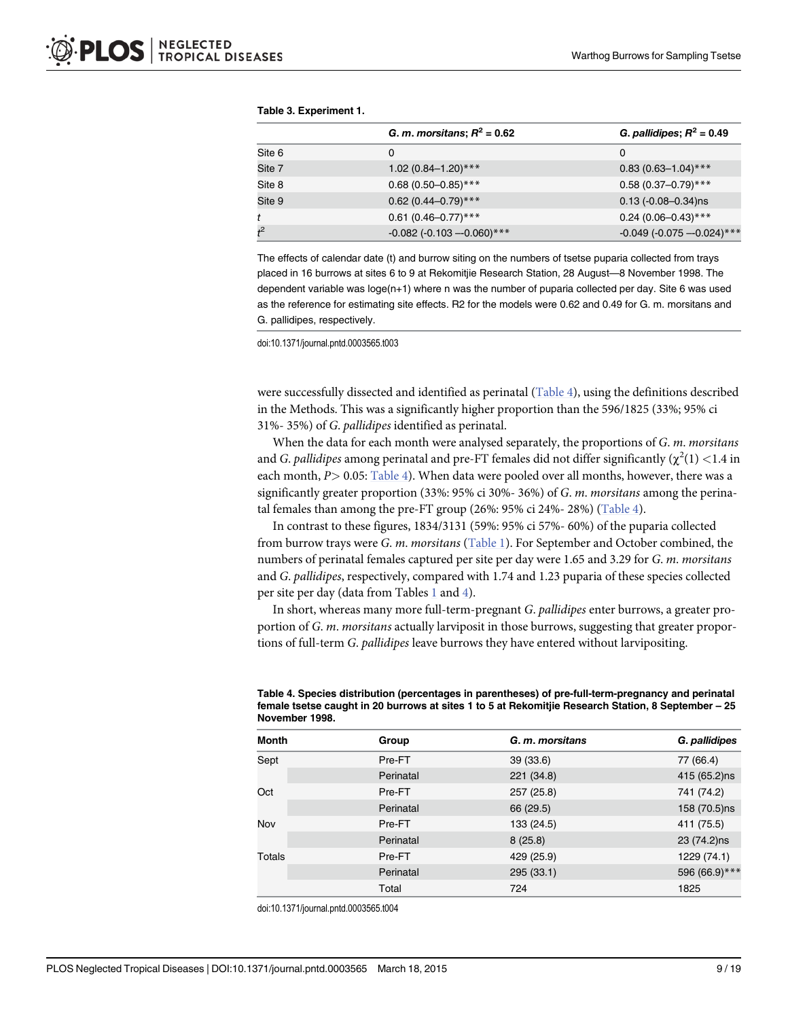|        | G. m. morsitans; $R^2 = 0.62$    | G. pallidipes; $R^2 = 0.49$      |
|--------|----------------------------------|----------------------------------|
| Site 6 | 0                                | 0                                |
| Site 7 | $1.02(0.84 - 1.20)$ ***          | $0.83(0.63 - 1.04)$ ***          |
| Site 8 | $0.68$ (0.50-0.85)***            | $0.58(0.37 - 0.79)$ ***          |
| Site 9 | $0.62$ (0.44-0.79)***            | $0.13$ (-0.08-0.34)ns            |
|        | $0.61$ (0.46-0.77)***            | $0.24(0.06 - 0.43)$ ***          |
|        | $-0.082$ ( $-0.103 - 0.060$ )*** | $-0.049$ ( $-0.075 - 0.024$ )*** |

#### <span id="page-8-0"></span>[Table 3.](#page-7-0) Experiment 1.

The effects of calendar date (t) and burrow siting on the numbers of tsetse puparia collected from trays placed in 16 burrows at sites 6 to 9 at Rekomitjie Research Station, 28 August—8 November 1998. The dependent variable was loge(n+1) where n was the number of puparia collected per day. Site 6 was used as the reference for estimating site effects. R2 for the models were 0.62 and 0.49 for G. m. morsitans and G. pallidipes, respectively.

doi:10.1371/journal.pntd.0003565.t003

were successfully dissected and identified as perinatal  $(Table 4)$ , using the definitions described in the Methods. This was a significantly higher proportion than the 596/1825 (33%; 95% ci 31%- 35%) of G. pallidipes identified as perinatal.

When the data for each month were analysed separately, the proportions of G. m. morsitans and G.  $\emph{pallidipes}$  among perinatal and pre-FT females did not differ significantly ( $\chi^2(1)$  < 1.4 in each month,  $P > 0.05$ : Table 4). When data were pooled over all months, however, there was a significantly greater proportion  $(33\%: 95\% \text{ ci } 30\% \text{·} 36\%)$  of G. m. morsitans among the perinatal females than among the pre-FT group (26%: 95% ci 24%- 28%) (Table 4).

In contrast to these figures, 1834/3131 (59%: 95% ci 57%- 60%) of the puparia collected from burrow trays were G. m. morsitans ([Table 1\)](#page-6-0). For September and October combined, the numbers of perinatal females captured per site per day were 1.65 and 3.29 for G. m. morsitans and G. pallidipes, respectively, compared with 1.74 and 1.23 puparia of these species collected per site per day (data from Tables  $1$  and  $4$ ).

In short, whereas many more full-term-pregnant G. pallidipes enter burrows, a greater proportion of G. m. morsitans actually larviposit in those burrows, suggesting that greater proportions of full-term G. pallidipes leave burrows they have entered without larvipositing.

| Month  | Group     | G. m. morsitans | G. pallidipes |
|--------|-----------|-----------------|---------------|
| Sept   | Pre-FT    | 39(33.6)        | 77 (66.4)     |
|        | Perinatal | 221 (34.8)      | 415 (65.2)ns  |
| Oct    | Pre-FT    | 257 (25.8)      | 741 (74.2)    |
|        | Perinatal | 66 (29.5)       | 158 (70.5)ns  |
| Nov    | Pre-FT    | 133 (24.5)      | 411 (75.5)    |
|        | Perinatal | 8(25.8)         | 23 (74.2)ns   |
| Totals | Pre-FT    | 429 (25.9)      | 1229 (74.1)   |
|        | Perinatal | 295 (33.1)      | 596 (66.9)*** |
|        | Total     | 724             | 1825          |
|        |           |                 |               |

| Table 4. Species distribution (percentages in parentheses) of pre-full-term-pregnancy and perinatal |
|-----------------------------------------------------------------------------------------------------|
| female tsetse caught in 20 burrows at sites 1 to 5 at Rekomitije Research Station, 8 September - 25 |
| November 1998.                                                                                      |

doi:10.1371/journal.pntd.0003565.t004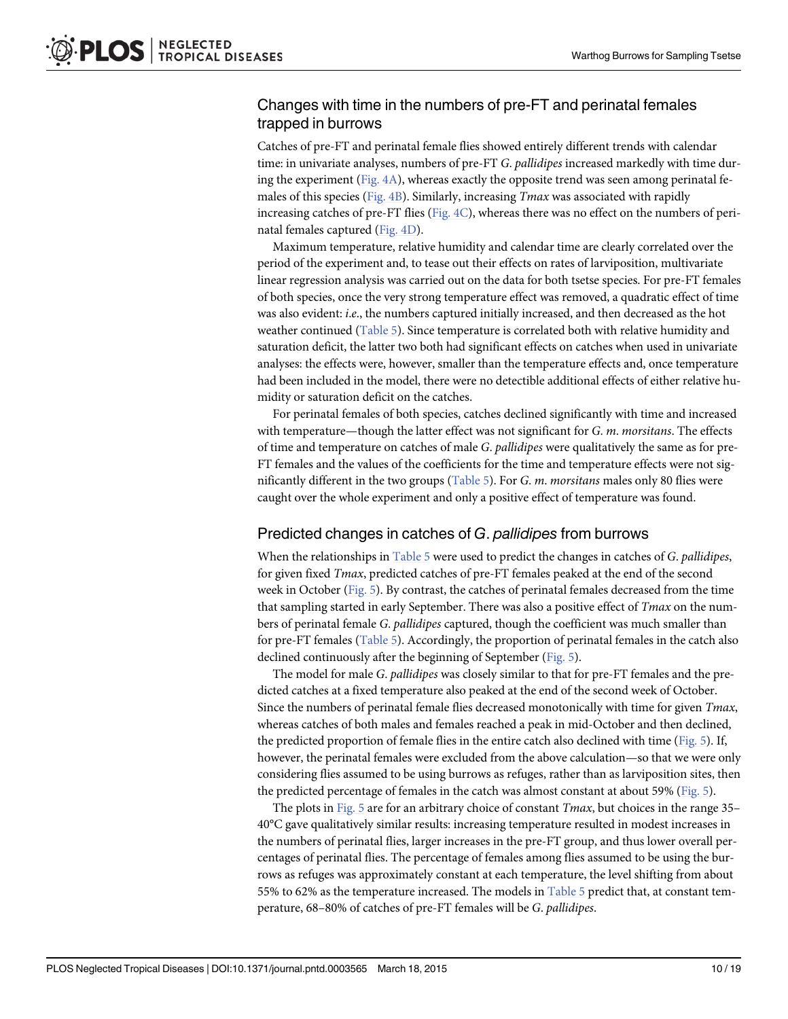## <span id="page-9-0"></span>Changes with time in the numbers of pre-FT and perinatal females trapped in burrows

Catches of pre-FT and perinatal female flies showed entirely different trends with calendar time: in univariate analyses, numbers of pre-FT G. pallidipes increased markedly with time during the experiment (Fig.  $4A$ ), whereas exactly the opposite trend was seen among perinatal females of this species [\(Fig. 4B\)](#page-10-0). Similarly, increasing Tmax was associated with rapidly increasing catches of pre-FT flies ([Fig. 4C\)](#page-10-0), whereas there was no effect on the numbers of perinatal females captured ([Fig. 4D\)](#page-10-0).

Maximum temperature, relative humidity and calendar time are clearly correlated over the period of the experiment and, to tease out their effects on rates of larviposition, multivariate linear regression analysis was carried out on the data for both tsetse species. For pre-FT females of both species, once the very strong temperature effect was removed, a quadratic effect of time was also evident: i.e., the numbers captured initially increased, and then decreased as the hot weather continued ([Table 5\)](#page-11-0). Since temperature is correlated both with relative humidity and saturation deficit, the latter two both had significant effects on catches when used in univariate analyses: the effects were, however, smaller than the temperature effects and, once temperature had been included in the model, there were no detectible additional effects of either relative humidity or saturation deficit on the catches.

For perinatal females of both species, catches declined significantly with time and increased with temperature—though the latter effect was not significant for  $G$ .  $m$ . morsitans. The effects of time and temperature on catches of male G. pallidipes were qualitatively the same as for pre-FT females and the values of the coefficients for the time and temperature effects were not significantly different in the two groups  $(Table 5)$  $(Table 5)$ . For G. m. morsitans males only 80 flies were caught over the whole experiment and only a positive effect of temperature was found.

## Predicted changes in catches of G. pallidipes from burrows

When the relationships in  $Table 5$  were used to predict the changes in catches of G. pallidipes, for given fixed Tmax, predicted catches of pre-FT females peaked at the end of the second week in October ([Fig. 5](#page-12-0)). By contrast, the catches of perinatal females decreased from the time that sampling started in early September. There was also a positive effect of Tmax on the numbers of perinatal female G. pallidipes captured, though the coefficient was much smaller than for pre-FT females [\(Table 5\)](#page-11-0). Accordingly, the proportion of perinatal females in the catch also declined continuously after the beginning of September ([Fig. 5](#page-12-0)).

The model for male G. pallidipes was closely similar to that for pre-FT females and the predicted catches at a fixed temperature also peaked at the end of the second week of October. Since the numbers of perinatal female flies decreased monotonically with time for given Tmax, whereas catches of both males and females reached a peak in mid-October and then declined, the predicted proportion of female flies in the entire catch also declined with time [\(Fig. 5\)](#page-12-0). If, however, the perinatal females were excluded from the above calculation—so that we were only considering flies assumed to be using burrows as refuges, rather than as larviposition sites, then the predicted percentage of females in the catch was almost constant at about 59% [\(Fig. 5\)](#page-12-0).

The plots in [Fig. 5](#page-12-0) are for an arbitrary choice of constant  $Tmax$ , but choices in the range 35– 40°C gave qualitatively similar results: increasing temperature resulted in modest increases in the numbers of perinatal flies, larger increases in the pre-FT group, and thus lower overall percentages of perinatal flies. The percentage of females among flies assumed to be using the burrows as refuges was approximately constant at each temperature, the level shifting from about 55% to 62% as the temperature increased. The models in  $Table 5$  predict that, at constant temperature, 68–80% of catches of pre-FT females will be G. pallidipes.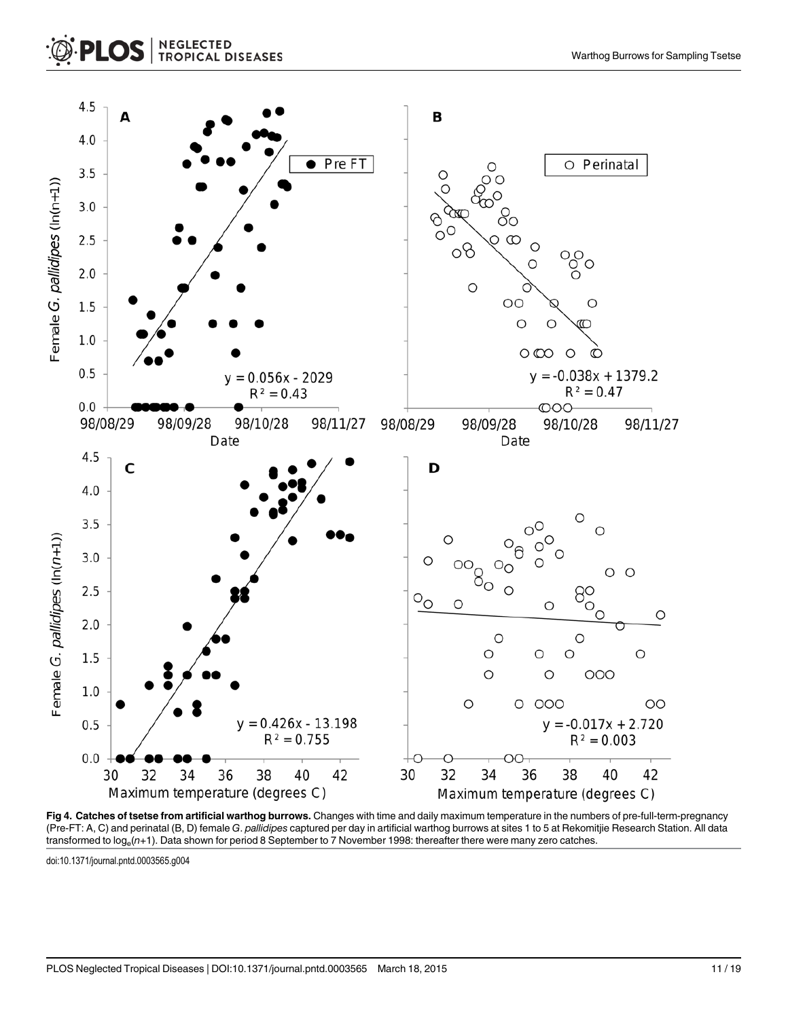## <span id="page-10-0"></span>**NEGLECTED<br>TROPICAL DISEASES PLOS**



[Fig 4. C](#page-9-0)atches of tsetse from artificial warthog burrows. Changes with time and daily maximum temperature in the numbers of pre-full-term-pregnancy (Pre-FT: A, C) and perinatal (B, D) female G. pallidipes captured per day in artificial warthog burrows at sites 1 to 5 at Rekomitjie Research Station. All data transformed to log<sub>e</sub>(n+1). Data shown for period 8 September to 7 November 1998: thereafter there were many zero catches.

doi:10.1371/journal.pntd.0003565.g004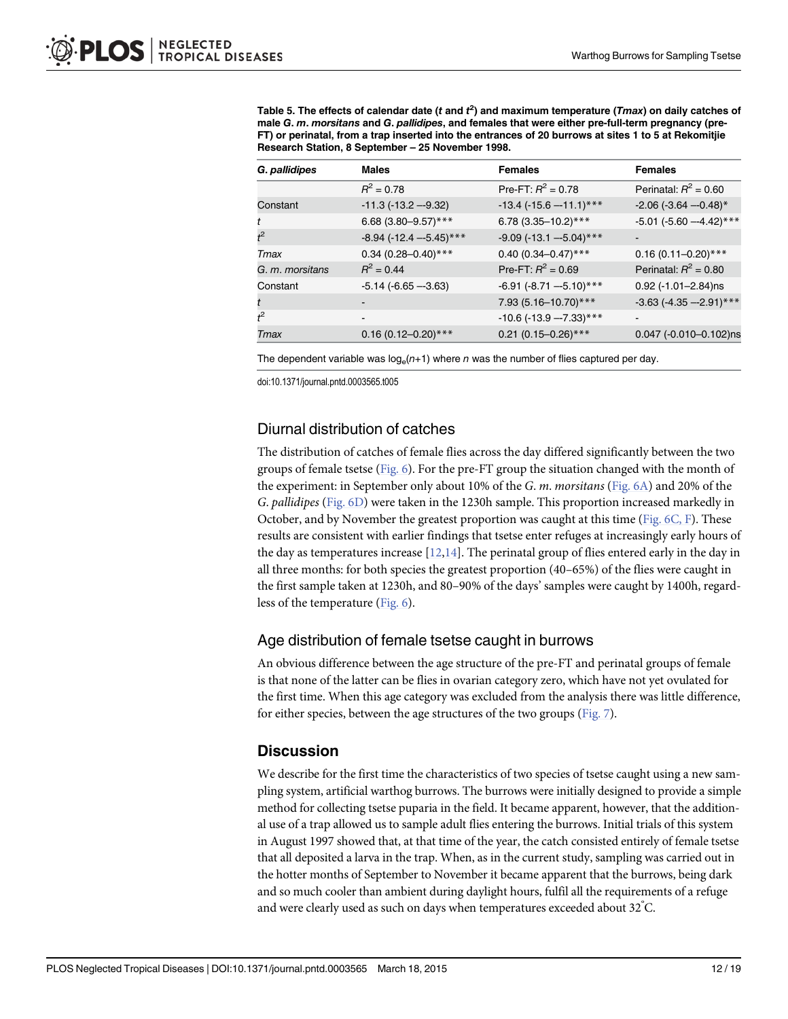<span id="page-11-0"></span>[Table 5.](#page-9-0) The effects of calendar date (*t* and  $t^2$ ) and maximum temperature (*Tmax*) on daily catches of male G. m. morsitans and G. pallidipes, and females that were either pre-full-term pregnancy (pre-FT) or perinatal, from a trap inserted into the entrances of 20 burrows at sites 1 to 5 at Rekomitjie Research Station, 8 September – 25 November 1998.

| G. pallidipes   | <b>Males</b>                  | <b>Females</b>                | <b>Females</b>                |
|-----------------|-------------------------------|-------------------------------|-------------------------------|
|                 | $R^2 = 0.78$                  | Pre-FT: $R^2 = 0.78$          | Perinatal: $R^2 = 0.60$       |
| Constant        | $-11.3(-13.2 - 9.32)$         | $-13.4$ ( $-15.6 - 11.1$ )*** | $-2.06 (-3.64 - 0.48)^*$      |
|                 | 6.68 (3.80-9.57)***           | 6.78 (3.35-10.2)***           | $-5.01$ ( $-5.60 - 4.42$ )*** |
| $t^2$           | $-8.94$ ( $-12.4 - 5.45$ )*** | $-9.09$ ( $-13.1 -5.04$ )***  |                               |
| Tmax            | $0.34$ (0.28-0.40)***         | 0.40 $(0.34 - 0.47)$ ***      | $0.16(0.11 - 0.20)$ ***       |
| G. m. morsitans | $R^2 = 0.44$                  | Pre-FT: $R^2 = 0.69$          | Perinatal: $R^2 = 0.80$       |
| Constant        | $-5.14$ $(-6.65 - 3.63)$      | $-6.91$ ( $-8.71 - 5.10$ )*** | $0.92$ (-1.01-2.84)ns         |
|                 |                               | 7.93 (5.16-10.70)***          | $-3.63$ (-4.35 $-2.91$ )***   |
|                 |                               | $-10.6$ ( $-13.9 - 7.33$ )*** |                               |
| Tmax            | $0.16(0.12-0.20)$ ***         | $0.21$ (0.15-0.26)***         | 0.047 (-0.010-0.102)ns        |

The dependent variable was  $log_e(n+1)$  where n was the number of flies captured per day.

doi:10.1371/journal.pntd.0003565.t005

#### Diurnal distribution of catches

The distribution of catches of female flies across the day differed significantly between the two groups of female tsetse ( $Fig. 6$ ). For the pre-FT group the situation changed with the month of the experiment: in September only about 10% of the G. m. morsitans [\(Fig. 6A\)](#page-13-0) and 20% of the G. pallidipes ([Fig. 6D\)](#page-13-0) were taken in the 1230h sample. This proportion increased markedly in October, and by November the greatest proportion was caught at this time ([Fig. 6C, F](#page-13-0)). These results are consistent with earlier findings that tsetse enter refuges at increasingly early hours of the day as temperatures increase  $[12,14]$  $[12,14]$  $[12,14]$  $[12,14]$  $[12,14]$ . The perinatal group of flies entered early in the day in all three months: for both species the greatest proportion (40–65%) of the flies were caught in the first sample taken at 1230h, and 80–90% of the days' samples were caught by 1400h, regardless of the temperature [\(Fig. 6](#page-13-0)).

#### Age distribution of female tsetse caught in burrows

An obvious difference between the age structure of the pre-FT and perinatal groups of female is that none of the latter can be flies in ovarian category zero, which have not yet ovulated for the first time. When this age category was excluded from the analysis there was little difference, for either species, between the age structures of the two groups ( $Fig. 7$ ).

#### **Discussion**

We describe for the first time the characteristics of two species of tsetse caught using a new sampling system, artificial warthog burrows. The burrows were initially designed to provide a simple method for collecting tsetse puparia in the field. It became apparent, however, that the additional use of a trap allowed us to sample adult flies entering the burrows. Initial trials of this system in August 1997 showed that, at that time of the year, the catch consisted entirely of female tsetse that all deposited a larva in the trap. When, as in the current study, sampling was carried out in the hotter months of September to November it became apparent that the burrows, being dark and so much cooler than ambient during daylight hours, fulfil all the requirements of a refuge and were clearly used as such on days when temperatures exceeded about 32 $^{\circ}$ C.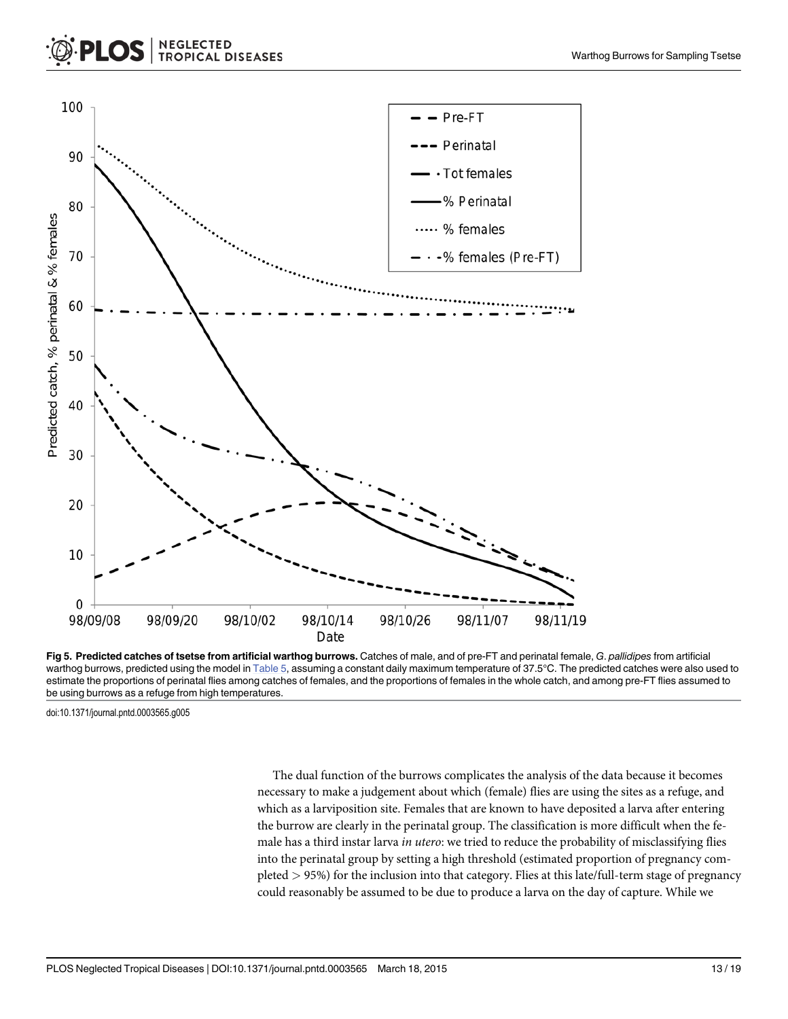<span id="page-12-0"></span>

[Fig 5. P](#page-9-0)redicted catches of tsetse from artificial warthog burrows. Catches of male, and of pre-FT and perinatal female, G. pallidipes from artificial warthog burrows, predicted using the model in [Table 5,](#page-11-0) assuming a constant daily maximum temperature of 37.5°C. The predicted catches were also used to estimate the proportions of perinatal flies among catches of females, and the proportions of females in the whole catch, and among pre-FT flies assumed to be using burrows as a refuge from high temperatures.

doi:10.1371/journal.pntd.0003565.g005

The dual function of the burrows complicates the analysis of the data because it becomes necessary to make a judgement about which (female) flies are using the sites as a refuge, and which as a larviposition site. Females that are known to have deposited a larva after entering the burrow are clearly in the perinatal group. The classification is more difficult when the female has a third instar larva in utero: we tried to reduce the probability of misclassifying flies into the perinatal group by setting a high threshold (estimated proportion of pregnancy completed > 95%) for the inclusion into that category. Flies at this late/full-term stage of pregnancy could reasonably be assumed to be due to produce a larva on the day of capture. While we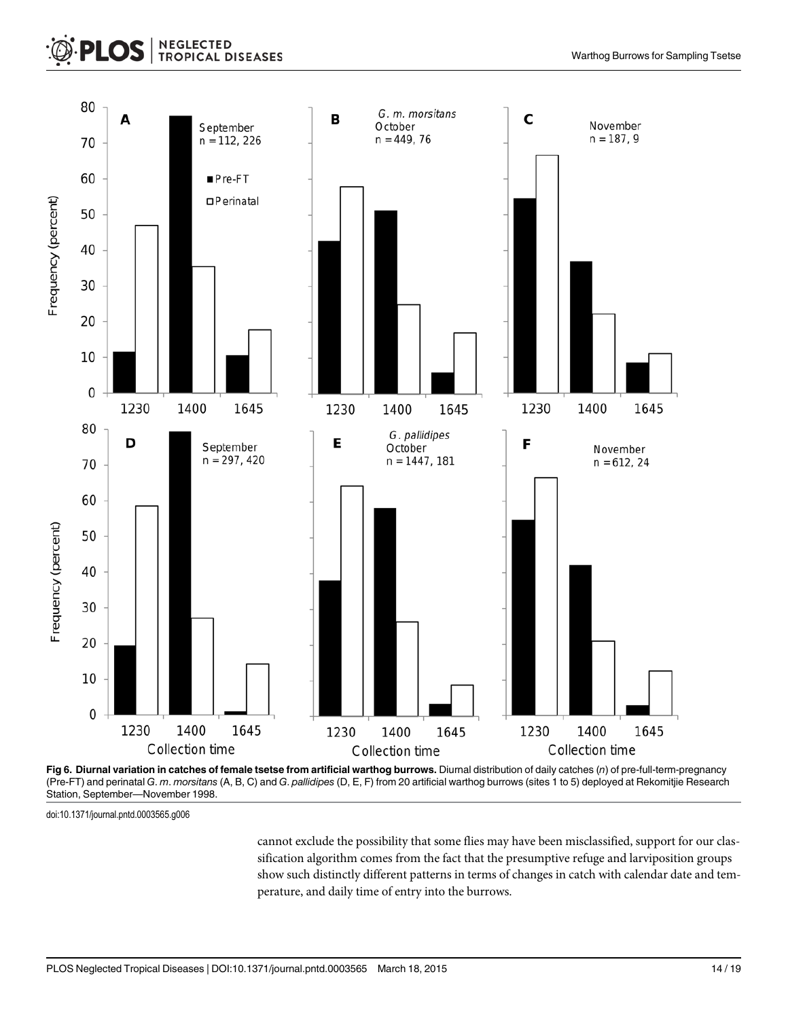# <span id="page-13-0"></span>**NEGLECTED<br>TROPICAL DISEASES**



[Fig 6. D](#page-11-0)iurnal variation in catches of female tsetse from artificial warthog burrows. Diurnal distribution of daily catches  $(n)$  of pre-full-term-pregnancy (Pre-FT) and perinatal G. m. morsitans (A, B, C) and G. pallidipes (D, E, F) from 20 artificial warthog burrows (sites 1 to 5) deployed at Rekomitjie Research Station, September—November 1998.

doi:10.1371/journal.pntd.0003565.g006

cannot exclude the possibility that some flies may have been misclassified, support for our classification algorithm comes from the fact that the presumptive refuge and larviposition groups show such distinctly different patterns in terms of changes in catch with calendar date and temperature, and daily time of entry into the burrows.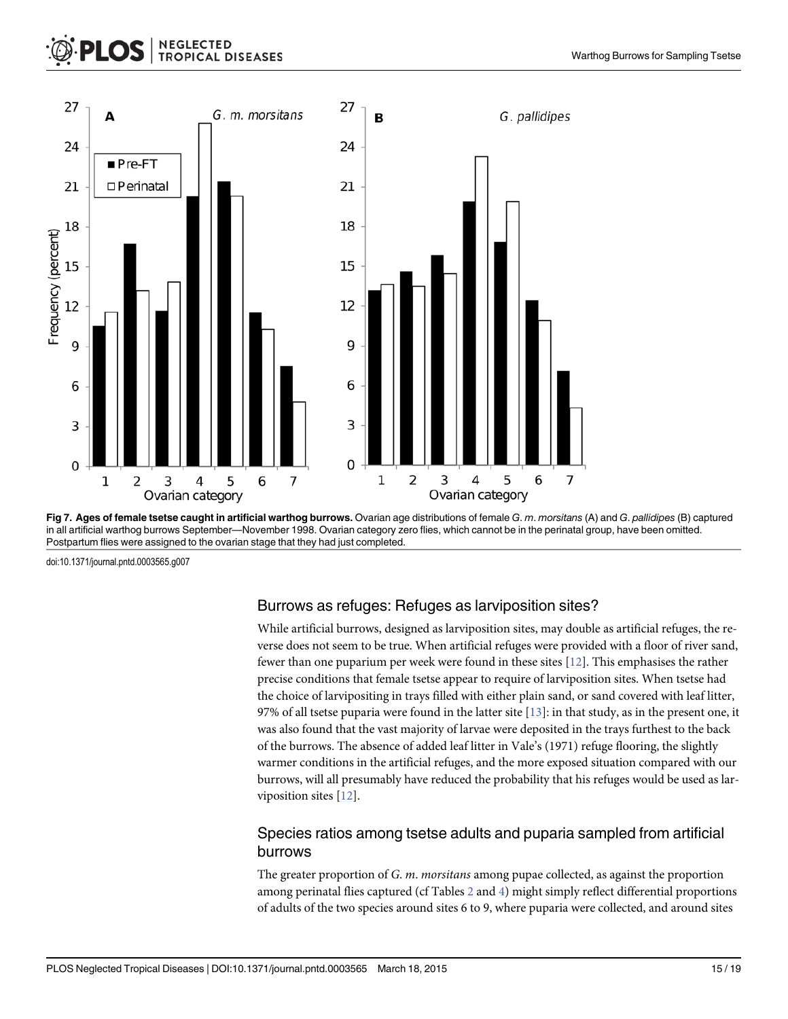## <span id="page-14-0"></span>**NEGLECTED TROPICAL DISEASES**





doi:10.1371/journal.pntd.0003565.g007

### Burrows as refuges: Refuges as larviposition sites?

While artificial burrows, designed as larviposition sites, may double as artificial refuges, the reverse does not seem to be true. When artificial refuges were provided with a floor of river sand, fewer than one puparium per week were found in these sites [[12](#page-17-0)]. This emphasises the rather precise conditions that female tsetse appear to require of larviposition sites. When tsetse had the choice of larvipositing in trays filled with either plain sand, or sand covered with leaf litter, 97% of all tsetse puparia were found in the latter site  $[13]$  $[13]$  $[13]$ : in that study, as in the present one, it was also found that the vast majority of larvae were deposited in the trays furthest to the back of the burrows. The absence of added leaf litter in Vale's (1971) refuge flooring, the slightly warmer conditions in the artificial refuges, and the more exposed situation compared with our burrows, will all presumably have reduced the probability that his refuges would be used as larviposition sites [[12](#page-17-0)].

## Species ratios among tsetse adults and puparia sampled from artificial burrows

The greater proportion of G. *m. morsitans* among pupae collected, as against the proportion among perinatal flies captured (cf Tables  $2$  and  $4$ ) might simply reflect differential proportions of adults of the two species around sites 6 to 9, where puparia were collected, and around sites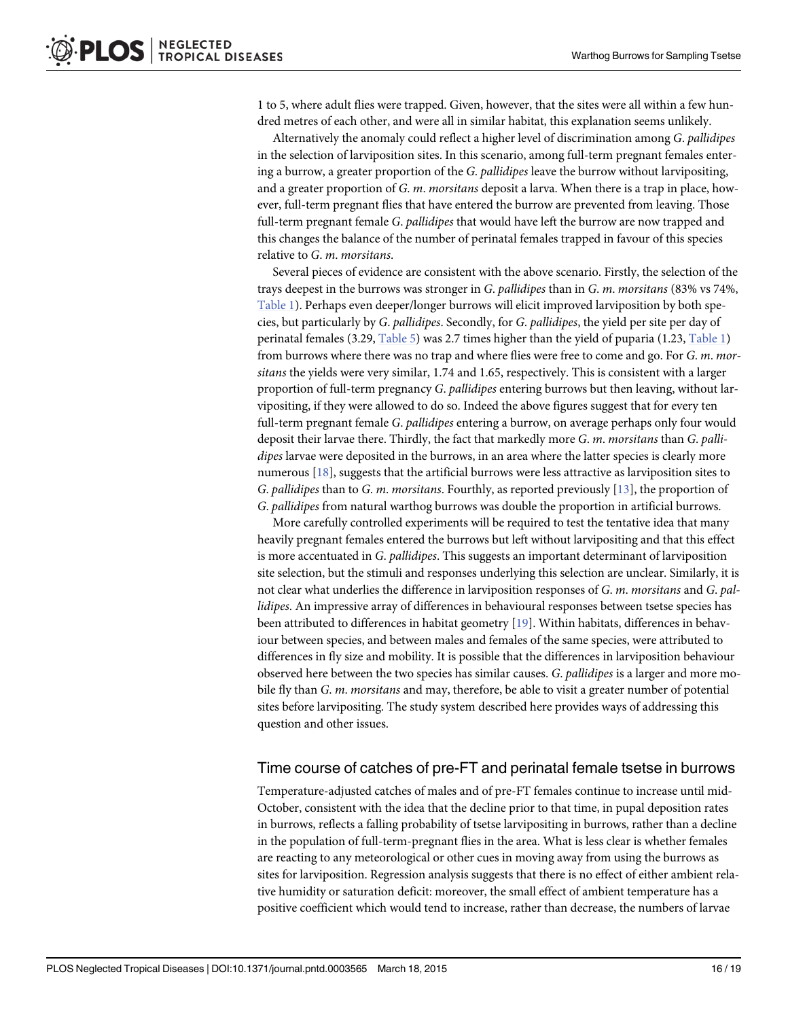<span id="page-15-0"></span>1 to 5, where adult flies were trapped. Given, however, that the sites were all within a few hundred metres of each other, and were all in similar habitat, this explanation seems unlikely.

Alternatively the anomaly could reflect a higher level of discrimination among G. pallidipes in the selection of larviposition sites. In this scenario, among full-term pregnant females entering a burrow, a greater proportion of the  $G$ . *pallidipes* leave the burrow without larvipositing, and a greater proportion of  $G$ .  $m$ . morsitans deposit a larva. When there is a trap in place, however, full-term pregnant flies that have entered the burrow are prevented from leaving. Those full-term pregnant female G. pallidipes that would have left the burrow are now trapped and this changes the balance of the number of perinatal females trapped in favour of this species relative to G. m. morsitans.

Several pieces of evidence are consistent with the above scenario. Firstly, the selection of the trays deepest in the burrows was stronger in G. pallidipes than in G. m. morsitans (83% vs 74%, [Table 1](#page-6-0)). Perhaps even deeper/longer burrows will elicit improved larviposition by both species, but particularly by G. pallidipes. Secondly, for G. pallidipes, the yield per site per day of perinatal females (3.29, [Table 5](#page-11-0)) was 2.7 times higher than the yield of puparia (1.23, [Table 1](#page-6-0)) from burrows where there was no trap and where flies were free to come and go. For G. m. morsitans the yields were very similar, 1.74 and 1.65, respectively. This is consistent with a larger proportion of full-term pregnancy G. pallidipes entering burrows but then leaving, without larvipositing, if they were allowed to do so. Indeed the above figures suggest that for every ten full-term pregnant female G. pallidipes entering a burrow, on average perhaps only four would deposit their larvae there. Thirdly, the fact that markedly more G. m. morsitans than G. pallidipes larvae were deposited in the burrows, in an area where the latter species is clearly more numerous [\[18\]](#page-18-0), suggests that the artificial burrows were less attractive as larviposition sites to G. pallidipes than to G. m. morsitans. Fourthly, as reported previously  $[13]$  $[13]$  $[13]$ , the proportion of G. pallidipes from natural warthog burrows was double the proportion in artificial burrows.

More carefully controlled experiments will be required to test the tentative idea that many heavily pregnant females entered the burrows but left without larvipositing and that this effect is more accentuated in G. *pallidipes*. This suggests an important determinant of larviposition site selection, but the stimuli and responses underlying this selection are unclear. Similarly, it is not clear what underlies the difference in larviposition responses of G. m. morsitans and G. pallidipes. An impressive array of differences in behavioural responses between tsetse species has been attributed to differences in habitat geometry [\[19\]](#page-18-0). Within habitats, differences in behaviour between species, and between males and females of the same species, were attributed to differences in fly size and mobility. It is possible that the differences in larviposition behaviour observed here between the two species has similar causes. G. pallidipes is a larger and more mobile fly than G. m. morsitans and may, therefore, be able to visit a greater number of potential sites before larvipositing. The study system described here provides ways of addressing this question and other issues.

#### Time course of catches of pre-FT and perinatal female tsetse in burrows

Temperature-adjusted catches of males and of pre-FT females continue to increase until mid-October, consistent with the idea that the decline prior to that time, in pupal deposition rates in burrows, reflects a falling probability of tsetse larvipositing in burrows, rather than a decline in the population of full-term-pregnant flies in the area. What is less clear is whether females are reacting to any meteorological or other cues in moving away from using the burrows as sites for larviposition. Regression analysis suggests that there is no effect of either ambient relative humidity or saturation deficit: moreover, the small effect of ambient temperature has a positive coefficient which would tend to increase, rather than decrease, the numbers of larvae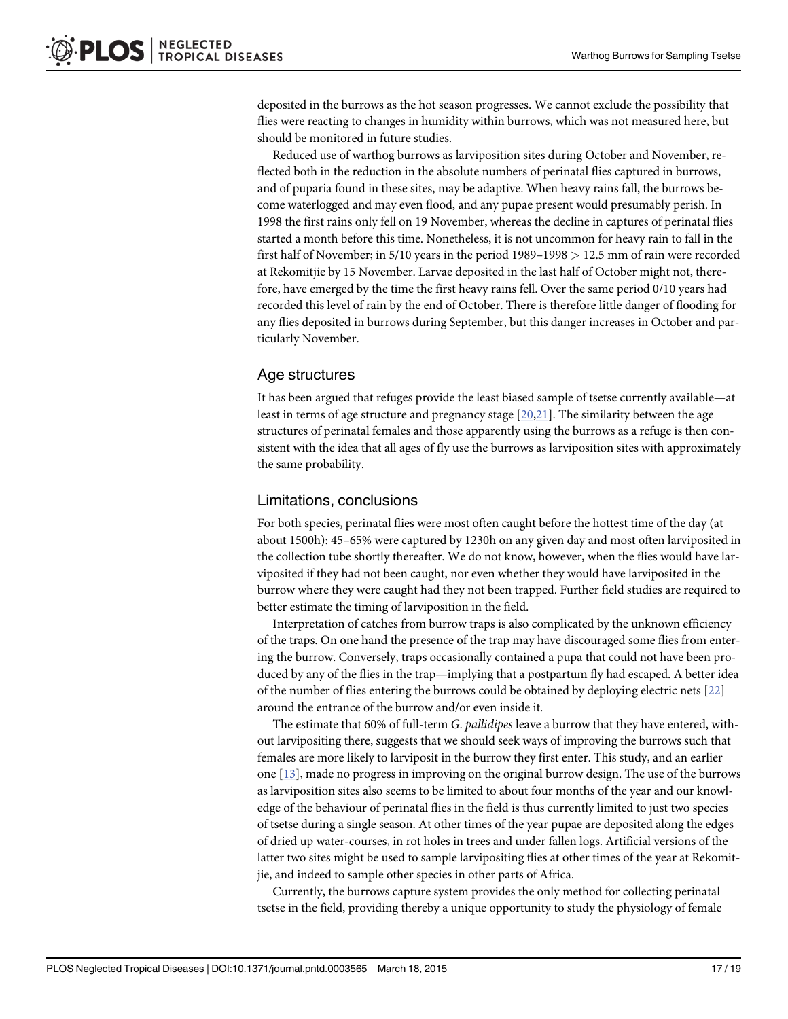<span id="page-16-0"></span>deposited in the burrows as the hot season progresses. We cannot exclude the possibility that flies were reacting to changes in humidity within burrows, which was not measured here, but should be monitored in future studies.

Reduced use of warthog burrows as larviposition sites during October and November, reflected both in the reduction in the absolute numbers of perinatal flies captured in burrows, and of puparia found in these sites, may be adaptive. When heavy rains fall, the burrows become waterlogged and may even flood, and any pupae present would presumably perish. In 1998 the first rains only fell on 19 November, whereas the decline in captures of perinatal flies started a month before this time. Nonetheless, it is not uncommon for heavy rain to fall in the first half of November; in 5/10 years in the period 1989–1998 > 12.5 mm of rain were recorded at Rekomitjie by 15 November. Larvae deposited in the last half of October might not, therefore, have emerged by the time the first heavy rains fell. Over the same period 0/10 years had recorded this level of rain by the end of October. There is therefore little danger of flooding for any flies deposited in burrows during September, but this danger increases in October and particularly November.

#### Age structures

It has been argued that refuges provide the least biased sample of tsetse currently available—at least in terms of age structure and pregnancy stage [[20](#page-18-0),[21](#page-18-0)]. The similarity between the age structures of perinatal females and those apparently using the burrows as a refuge is then consistent with the idea that all ages of fly use the burrows as larviposition sites with approximately the same probability.

#### Limitations, conclusions

For both species, perinatal flies were most often caught before the hottest time of the day (at about 1500h): 45–65% were captured by 1230h on any given day and most often larviposited in the collection tube shortly thereafter. We do not know, however, when the flies would have larviposited if they had not been caught, nor even whether they would have larviposited in the burrow where they were caught had they not been trapped. Further field studies are required to better estimate the timing of larviposition in the field.

Interpretation of catches from burrow traps is also complicated by the unknown efficiency of the traps. On one hand the presence of the trap may have discouraged some flies from entering the burrow. Conversely, traps occasionally contained a pupa that could not have been produced by any of the flies in the trap—implying that a postpartum fly had escaped. A better idea of the number of flies entering the burrows could be obtained by deploying electric nets [\[22](#page-18-0)] around the entrance of the burrow and/or even inside it.

The estimate that 60% of full-term G. pallidipes leave a burrow that they have entered, without larvipositing there, suggests that we should seek ways of improving the burrows such that females are more likely to larviposit in the burrow they first enter. This study, and an earlier one [\[13\]](#page-17-0), made no progress in improving on the original burrow design. The use of the burrows as larviposition sites also seems to be limited to about four months of the year and our knowledge of the behaviour of perinatal flies in the field is thus currently limited to just two species of tsetse during a single season. At other times of the year pupae are deposited along the edges of dried up water-courses, in rot holes in trees and under fallen logs. Artificial versions of the latter two sites might be used to sample larvipositing flies at other times of the year at Rekomitjie, and indeed to sample other species in other parts of Africa.

Currently, the burrows capture system provides the only method for collecting perinatal tsetse in the field, providing thereby a unique opportunity to study the physiology of female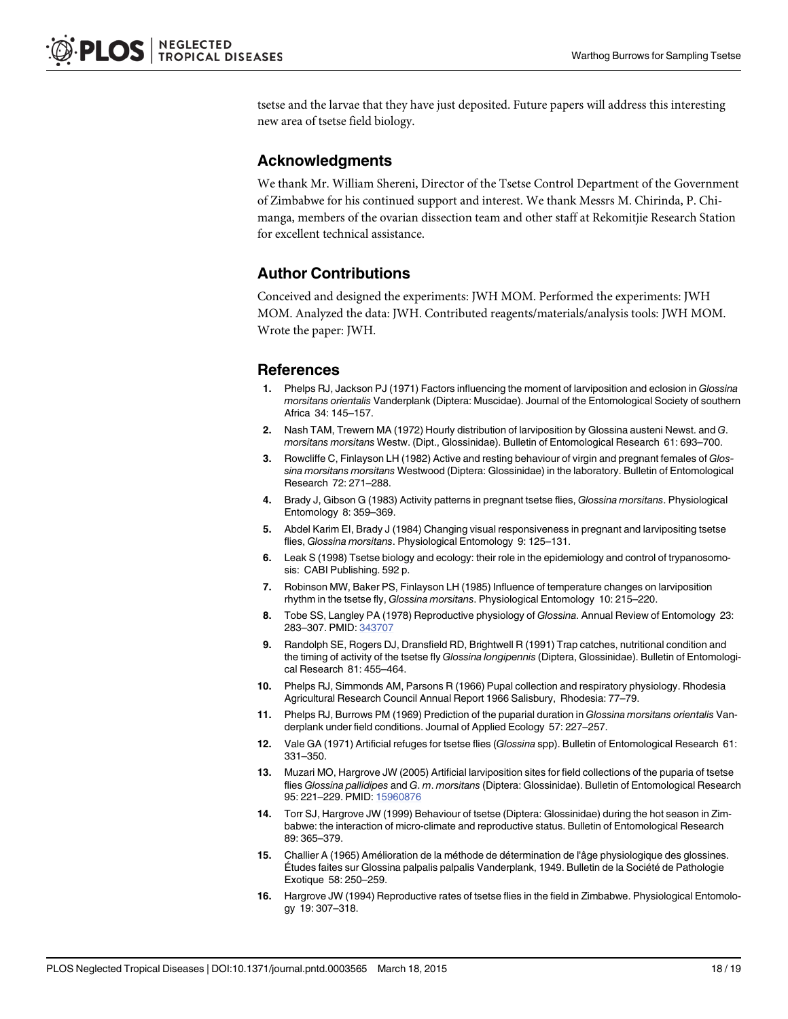<span id="page-17-0"></span>tsetse and the larvae that they have just deposited. Future papers will address this interesting new area of tsetse field biology.

#### Acknowledgments

We thank Mr. William Shereni, Director of the Tsetse Control Department of the Government of Zimbabwe for his continued support and interest. We thank Messrs M. Chirinda, P. Chimanga, members of the ovarian dissection team and other staff at Rekomitjie Research Station for excellent technical assistance.

### Author Contributions

Conceived and designed the experiments: JWH MOM. Performed the experiments: JWH MOM. Analyzed the data: JWH. Contributed reagents/materials/analysis tools: JWH MOM. Wrote the paper: JWH.

#### References

- [1.](#page-1-0) Phelps RJ, Jackson PJ (1971) Factors influencing the moment of larviposition and eclosion in Glossina morsitans orientalis Vanderplank (Diptera: Muscidae). Journal of the Entomological Society of southern Africa 34: 145–157.
- [2.](#page-1-0) Nash TAM, Trewern MA (1972) Hourly distribution of larviposition by Glossina austeni Newst. and G. morsitans morsitans Westw. (Dipt., Glossinidae). Bulletin of Entomological Research 61: 693–700.
- [3.](#page-1-0) Rowcliffe C, Finlayson LH (1982) Active and resting behaviour of virgin and pregnant females of Glossina morsitans morsitans Westwood (Diptera: Glossinidae) in the laboratory. Bulletin of Entomological Research 72: 271–288.
- [4.](#page-1-0) Brady J, Gibson G (1983) Activity patterns in pregnant tsetse flies, Glossina morsitans. Physiological Entomology 8: 359–369.
- [5.](#page-1-0) Abdel Karim EI, Brady J (1984) Changing visual responsiveness in pregnant and larvipositing tsetse flies, Glossina morsitans. Physiological Entomology 9: 125–131.
- [6.](#page-1-0) Leak S (1998) Tsetse biology and ecology: their role in the epidemiology and control of trypanosomosis: CABI Publishing. 592 p.
- [7.](#page-1-0) Robinson MW, Baker PS, Finlayson LH (1985) Influence of temperature changes on larviposition rhythm in the tsetse fly, Glossina morsitans. Physiological Entomology 10: 215–220.
- [8.](#page-1-0) Tobe SS, Langley PA (1978) Reproductive physiology of Glossina. Annual Review of Entomology 23: 283–307. PMID: [343707](http://www.ncbi.nlm.nih.gov/pubmed/343707)
- [9.](#page-1-0) Randolph SE, Rogers DJ, Dransfield RD, Brightwell R (1991) Trap catches, nutritional condition and the timing of activity of the tsetse fly Glossina longipennis (Diptera, Glossinidae). Bulletin of Entomological Research 81: 455–464.
- [10.](#page-2-0) Phelps RJ, Simmonds AM, Parsons R (1966) Pupal collection and respiratory physiology. Rhodesia Agricultural Research Council Annual Report 1966 Salisbury, Rhodesia: 77–79.
- [11.](#page-2-0) Phelps RJ, Burrows PM (1969) Prediction of the puparial duration in Glossina morsitans orientalis Vanderplank under field conditions. Journal of Applied Ecology 57: 227–257.
- [12.](#page-2-0) Vale GA (1971) Artificial refuges for tsetse flies (Glossina spp). Bulletin of Entomological Research 61: 331–350.
- [13.](#page-2-0) Muzari MO, Hargrove JW (2005) Artificial larviposition sites for field collections of the puparia of tsetse flies Glossina pallidipes and G. m. morsitans (Diptera: Glossinidae). Bulletin of Entomological Research 95: 221–229. PMID: [15960876](http://www.ncbi.nlm.nih.gov/pubmed/15960876)
- [14.](#page-2-0) Torr SJ, Hargrove JW (1999) Behaviour of tsetse (Diptera: Glossinidae) during the hot season in Zimbabwe: the interaction of micro-climate and reproductive status. Bulletin of Entomological Research 89: 365–379.
- [15.](#page-3-0) Challier A (1965) Amélioration de la méthode de détermination de l'âge physiologique des glossines. Études faites sur Glossina palpalis palpalis Vanderplank, 1949. Bulletin de la Société de Pathologie Exotique 58: 250–259.
- [16.](#page-4-0) Hargrove JW (1994) Reproductive rates of tsetse flies in the field in Zimbabwe. Physiological Entomology 19: 307–318.